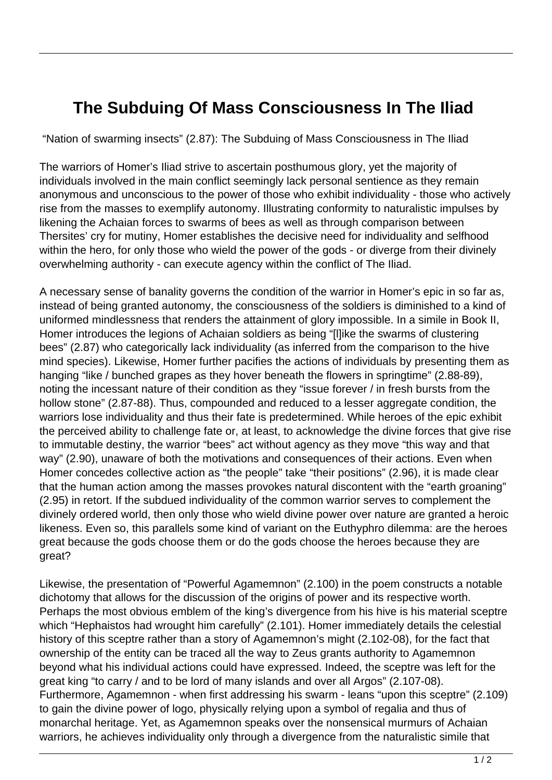## **The Subduing Of Mass Consciousness In The Iliad**

"Nation of swarming insects" (2.87): The Subduing of Mass Consciousness in The Iliad

The warriors of Homer's Iliad strive to ascertain posthumous glory, yet the majority of individuals involved in the main conflict seemingly lack personal sentience as they remain anonymous and unconscious to the power of those who exhibit individuality - those who actively rise from the masses to exemplify autonomy. Illustrating conformity to naturalistic impulses by likening the Achaian forces to swarms of bees as well as through comparison between Thersites' cry for mutiny, Homer establishes the decisive need for individuality and selfhood within the hero, for only those who wield the power of the gods - or diverge from their divinely overwhelming authority - can execute agency within the conflict of The Iliad.

A necessary sense of banality governs the condition of the warrior in Homer's epic in so far as, instead of being granted autonomy, the consciousness of the soldiers is diminished to a kind of uniformed mindlessness that renders the attainment of glory impossible. In a simile in Book II, Homer introduces the legions of Achaian soldiers as being "[l]ike the swarms of clustering bees" (2.87) who categorically lack individuality (as inferred from the comparison to the hive mind species). Likewise, Homer further pacifies the actions of individuals by presenting them as hanging "like / bunched grapes as they hover beneath the flowers in springtime" (2.88-89), noting the incessant nature of their condition as they "issue forever / in fresh bursts from the hollow stone" (2.87-88). Thus, compounded and reduced to a lesser aggregate condition, the warriors lose individuality and thus their fate is predetermined. While heroes of the epic exhibit the perceived ability to challenge fate or, at least, to acknowledge the divine forces that give rise to immutable destiny, the warrior "bees" act without agency as they move "this way and that way" (2.90), unaware of both the motivations and consequences of their actions. Even when Homer concedes collective action as "the people" take "their positions" (2.96), it is made clear that the human action among the masses provokes natural discontent with the "earth groaning" (2.95) in retort. If the subdued individuality of the common warrior serves to complement the divinely ordered world, then only those who wield divine power over nature are granted a heroic likeness. Even so, this parallels some kind of variant on the Euthyphro dilemma: are the heroes great because the gods choose them or do the gods choose the heroes because they are great?

Likewise, the presentation of "Powerful Agamemnon" (2.100) in the poem constructs a notable dichotomy that allows for the discussion of the origins of power and its respective worth. Perhaps the most obvious emblem of the king's divergence from his hive is his material sceptre which "Hephaistos had wrought him carefully" (2.101). Homer immediately details the celestial history of this sceptre rather than a story of Agamemnon's might (2.102-08), for the fact that ownership of the entity can be traced all the way to Zeus grants authority to Agamemnon beyond what his individual actions could have expressed. Indeed, the sceptre was left for the great king "to carry / and to be lord of many islands and over all Argos" (2.107-08). Furthermore, Agamemnon - when first addressing his swarm - leans "upon this sceptre" (2.109) to gain the divine power of logo, physically relying upon a symbol of regalia and thus of monarchal heritage. Yet, as Agamemnon speaks over the nonsensical murmurs of Achaian warriors, he achieves individuality only through a divergence from the naturalistic simile that